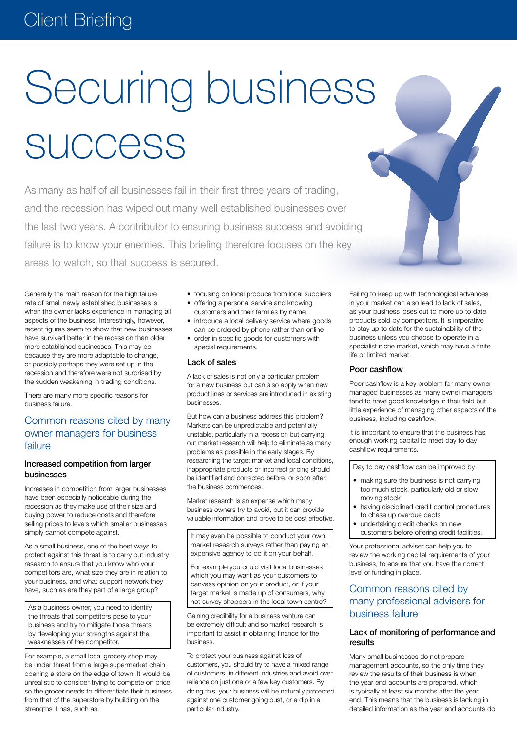# Securing business **SUCCESS**

As many as half of all businesses fail in their first three years of trading, and the recession has wiped out many well established businesses over the last two years. A contributor to ensuring business success and avoiding failure is to know your enemies. This briefing therefore focuses on the key areas to watch, so that success is secured.

Generally the main reason for the high failure rate of small newly established businesses is when the owner lacks experience in managing all aspects of the business. Interestingly, however, recent figures seem to show that new businesses have survived better in the recession than older more established businesses. This may be because they are more adaptable to change, or possibly perhaps they were set up in the recession and therefore were not surprised by the sudden weakening in trading conditions.

There are many more specific reasons for business failure.

# Common reasons cited by many owner managers for business failure

### Increased competition from larger businesses

Increases in competition from larger businesses have been especially noticeable during the recession as they make use of their size and buying power to reduce costs and therefore selling prices to levels which smaller businesses simply cannot compete against.

As a small business, one of the best ways to protect against this threat is to carry out industry research to ensure that you know who your competitors are, what size they are in relation to your business, and what support network they have, such as are they part of a large group?

As a business owner, you need to identify the threats that competitors pose to your business and try to mitigate those threats by developing your strengths against the weaknesses of the competitor.

For example, a small local grocery shop may be under threat from a large supermarket chain opening a store on the edge of town. It would be unrealistic to consider trying to compete on price so the grocer needs to differentiate their business from that of the superstore by building on the strengths it has, such as:

- focusing on local produce from local suppliers
- offering a personal service and knowing customers and their families by name
- introduce a local delivery service where goods can be ordered by phone rather than online
- order in specific goods for customers with special requirements.

#### Lack of sales

A lack of sales is not only a particular problem for a new business but can also apply when new product lines or services are introduced in existing businesses.

But how can a business address this problem? Markets can be unpredictable and potentially unstable, particularly in a recession but carrying out market research will help to eliminate as many problems as possible in the early stages. By researching the target market and local conditions, inappropriate products or incorrect pricing should be identified and corrected before, or soon after, the business commences.

Market research is an expense which many business owners try to avoid, but it can provide valuable information and prove to be cost effective.

It may even be possible to conduct your own market research surveys rather than paying an expensive agency to do it on your behalf.

For example you could visit local businesses which you may want as your customers to canvass opinion on your product, or if your target market is made up of consumers, why not survey shoppers in the local town centre?

Gaining credibility for a business venture can be extremely difficult and so market research is important to assist in obtaining finance for the business.

To protect your business against loss of customers, you should try to have a mixed range of customers, in different industries and avoid over reliance on just one or a few key customers. By doing this, your business will be naturally protected against one customer going bust, or a dip in a particular industry.

Failing to keep up with technological advances in your market can also lead to lack of sales, as your business loses out to more up to date products sold by competitors. It is imperative to stay up to date for the sustainability of the business unless you choose to operate in a specialist niche market, which may have a finite life or limited market.

## Poor cashflow

Poor cashflow is a key problem for many owner managed businesses as many owner managers tend to have good knowledge in their field but little experience of managing other aspects of the business, including cashflow.

It is important to ensure that the business has enough working capital to meet day to day cashflow requirements.

Day to day cashflow can be improved by:

- making sure the business is not carrying too much stock, particularly old or slow moving stock
- having disciplined credit control procedures to chase up overdue debts
- undertaking credit checks on new customers before offering credit facilities.

Your professional adviser can help you to review the working capital requirements of your business, to ensure that you have the correct level of funding in place.

# Common reasons cited by many professional advisers for business failure

# Lack of monitoring of performance and results

Many small businesses do not prepare management accounts, so the only time they review the results of their business is when the year end accounts are prepared, which is typically at least six months after the year end. This means that the business is lacking in detailed information as the year end accounts do